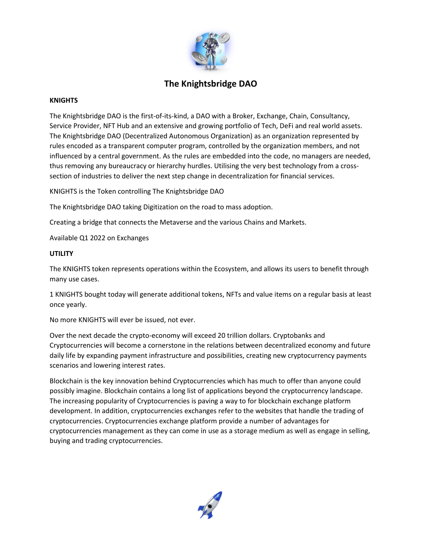

# **The Knightsbridge DAO**

#### **KNIGHTS**

The Knightsbridge DAO is the first-of-its-kind, a DAO with a Broker, Exchange, Chain, Consultancy, Service Provider, NFT Hub and an extensive and growing portfolio of Tech, DeFi and real world assets. The Knightsbridge DAO (Decentralized Autonomous Organization) as an organization represented by rules encoded as a transparent computer program, controlled by the organization members, and not influenced by a central government. As the rules are embedded into the code, no managers are needed, thus removing any bureaucracy or hierarchy hurdles. Utilising the very best technology from a crosssection of industries to deliver the next step change in decentralization for financial services.

KNIGHTS is the Token controlling The Knightsbridge DAO

The Knightsbridge DAO taking Digitization on the road to mass adoption.

Creating a bridge that connects the Metaverse and the various Chains and Markets.

Available Q1 2022 on Exchanges

#### **UTILITY**

The KNIGHTS token represents operations within the Ecosystem, and allows its users to benefit through many use cases.

1 KNIGHTS bought today will generate additional tokens, NFTs and value items on a regular basis at least once yearly.

No more KNIGHTS will ever be issued, not ever.

Over the next decade the crypto-economy will exceed 20 trillion dollars. Cryptobanks and Cryptocurrencies will become a cornerstone in the relations between decentralized economy and future daily life by expanding payment infrastructure and possibilities, creating new cryptocurrency payments scenarios and lowering interest rates.

Blockchain is the key innovation behind Cryptocurrencies which has much to offer than anyone could possibly imagine. Blockchain contains a long list of applications beyond the cryptocurrency landscape. The increasing popularity of Cryptocurrencies is paving a way to for blockchain exchange platform development. In addition, cryptocurrencies exchanges refer to the websites that handle the trading of cryptocurrencies. Cryptocurrencies exchange platform provide a number of advantages for cryptocurrencies management as they can come in use as a storage medium as well as engage in selling, buying and trading cryptocurrencies.

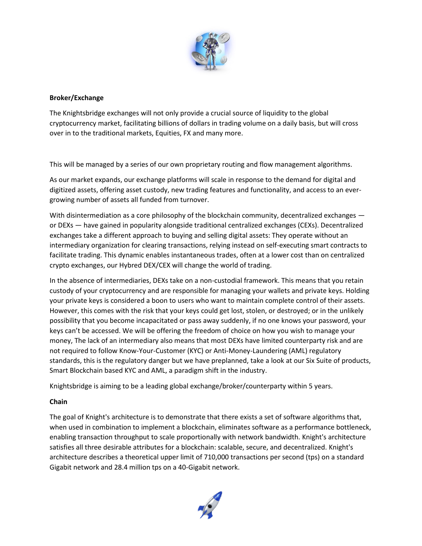

### **Broker/Exchange**

The Knightsbridge exchanges will not only provide a crucial source of liquidity to the global cryptocurrency market, facilitating billions of dollars in trading volume on a daily basis, but will cross over in to the traditional markets, Equities, FX and many more.

This will be managed by a series of our own proprietary routing and flow management algorithms.

As our market expands, our exchange platforms will scale in response to the demand for digital and digitized assets, offering asset custody, new trading features and functionality, and access to an evergrowing number of assets all funded from turnover.

With disintermediation as a core philosophy of the blockchain community, decentralized exchanges or DEXs — have gained in popularity alongside traditional centralized exchanges (CEXs). Decentralized exchanges take a different approach to buying and selling digital assets: They operate without an intermediary organization for clearing transactions, relying instead on self-executing smart contracts to facilitate trading. This dynamic enables instantaneous trades, often at a lower cost than on centralized crypto exchanges, our Hybred DEX/CEX will change the world of trading.

In the absence of intermediaries, DEXs take on a non-custodial framework. This means that you retain custody of your cryptocurrency and are responsible for managing your wallets and private keys. Holding your private keys is considered a boon to users who want to maintain complete control of their assets. However, this comes with the risk that your keys could get lost, stolen, or destroyed; or in the unlikely possibility that you become incapacitated or pass away suddenly, if no one knows your password, your keys can't be accessed. We will be offering the freedom of choice on how you wish to manage your money, The lack of an intermediary also means that most DEXs have limited counterparty risk and are not required to follow Know-Your-Customer (KYC) or Anti-Money-Laundering (AML) regulatory standards, this is the regulatory danger but we have preplanned, take a look at our Six Suite of products, Smart Blockchain based KYC and AML, a paradigm shift in the industry.

Knightsbridge is aiming to be a leading global exchange/broker/counterparty within 5 years.

# **Chain**

The goal of Knight's architecture is to demonstrate that there exists a set of software algorithms that, when used in combination to implement a blockchain, eliminates software as a performance bottleneck, enabling transaction throughput to scale proportionally with network bandwidth. Knight's architecture satisfies all three desirable attributes for a blockchain: scalable, secure, and decentralized. Knight's architecture describes a theoretical upper limit of 710,000 transactions per second (tps) on a standard Gigabit network and 28.4 million tps on a 40-Gigabit network.

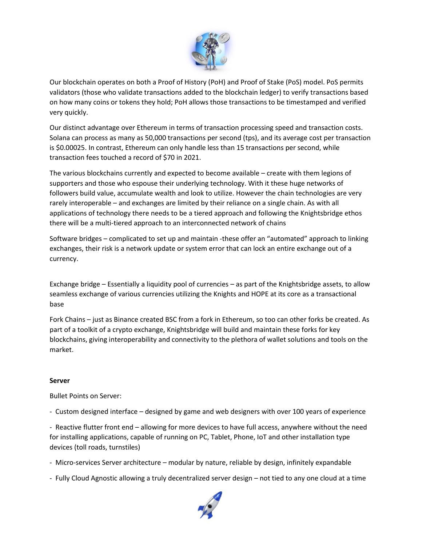

Our blockchain operates on both a Proof of History (PoH) and Proof of Stake (PoS) model. PoS permits validators (those who validate transactions added to the blockchain ledger) to verify transactions based on how many coins or tokens they hold; PoH allows those transactions to be timestamped and verified very quickly.

Our distinct advantage over Ethereum in terms of transaction processing speed and transaction costs. Solana can process as many as 50,000 transactions per second (tps), and its average cost per transaction is \$0.00025. In contrast, Ethereum can only handle less than 15 transactions per second, while transaction fees touched a record of \$70 in 2021.

The various blockchains currently and expected to become available – create with them legions of supporters and those who espouse their underlying technology. With it these huge networks of followers build value, accumulate wealth and look to utilize. However the chain technologies are very rarely interoperable – and exchanges are limited by their reliance on a single chain. As with all applications of technology there needs to be a tiered approach and following the Knightsbridge ethos there will be a multi-tiered approach to an interconnected network of chains

Software bridges – complicated to set up and maintain -these offer an "automated" approach to linking exchanges, their risk is a network update or system error that can lock an entire exchange out of a currency.

Exchange bridge – Essentially a liquidity pool of currencies – as part of the Knightsbridge assets, to allow seamless exchange of various currencies utilizing the Knights and HOPE at its core as a transactional base

Fork Chains – just as Binance created BSC from a fork in Ethereum, so too can other forks be created. As part of a toolkit of a crypto exchange, Knightsbridge will build and maintain these forks for key blockchains, giving interoperability and connectivity to the plethora of wallet solutions and tools on the market.

#### **Server**

Bullet Points on Server:

- Custom designed interface – designed by game and web designers with over 100 years of experience

- Reactive flutter front end – allowing for more devices to have full access, anywhere without the need for installing applications, capable of running on PC, Tablet, Phone, IoT and other installation type devices (toll roads, turnstiles)

- Micro-services Server architecture modular by nature, reliable by design, infinitely expandable
- Fully Cloud Agnostic allowing a truly decentralized server design not tied to any one cloud at a time

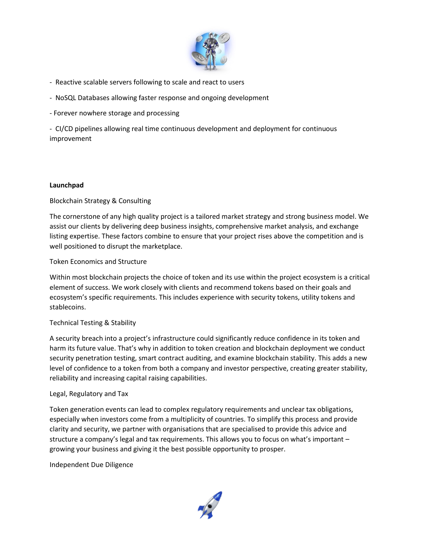

- Reactive scalable servers following to scale and react to users
- NoSQL Databases allowing faster response and ongoing development
- Forever nowhere storage and processing

- CI/CD pipelines allowing real time continuous development and deployment for continuous improvement

## **Launchpad**

# Blockchain Strategy & Consulting

The cornerstone of any high quality project is a tailored market strategy and strong business model. We assist our clients by delivering deep business insights, comprehensive market analysis, and exchange listing expertise. These factors combine to ensure that your project rises above the competition and is well positioned to disrupt the marketplace.

## Token Economics and Structure

Within most blockchain projects the choice of token and its use within the project ecosystem is a critical element of success. We work closely with clients and recommend tokens based on their goals and ecosystem's specific requirements. This includes experience with security tokens, utility tokens and stablecoins.

# Technical Testing & Stability

A security breach into a project's infrastructure could significantly reduce confidence in its token and harm its future value. That's why in addition to token creation and blockchain deployment we conduct security penetration testing, smart contract auditing, and examine blockchain stability. This adds a new level of confidence to a token from both a company and investor perspective, creating greater stability, reliability and increasing capital raising capabilities.

#### Legal, Regulatory and Tax

Token generation events can lead to complex regulatory requirements and unclear tax obligations, especially when investors come from a multiplicity of countries. To simplify this process and provide clarity and security, we partner with organisations that are specialised to provide this advice and structure a company's legal and tax requirements. This allows you to focus on what's important – growing your business and giving it the best possible opportunity to prosper.

Independent Due Diligence

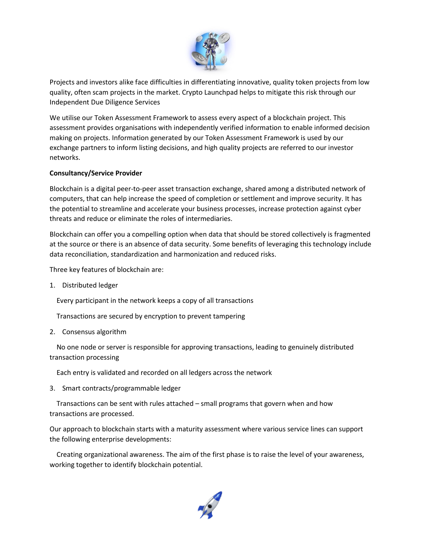

Projects and investors alike face difficulties in differentiating innovative, quality token projects from low quality, often scam projects in the market. Crypto Launchpad helps to mitigate this risk through our Independent Due Diligence Services

We utilise our Token Assessment Framework to assess every aspect of a blockchain project. This assessment provides organisations with independently verified information to enable informed decision making on projects. Information generated by our Token Assessment Framework is used by our exchange partners to inform listing decisions, and high quality projects are referred to our investor networks.

## **Consultancy/Service Provider**

Blockchain is a digital peer-to-peer asset transaction exchange, shared among a distributed network of computers, that can help increase the speed of completion or settlement and improve security. It has the potential to streamline and accelerate your business processes, increase protection against cyber threats and reduce or eliminate the roles of intermediaries.

Blockchain can offer you a compelling option when data that should be stored collectively is fragmented at the source or there is an absence of data security. Some benefits of leveraging this technology include data reconciliation, standardization and harmonization and reduced risks.

Three key features of blockchain are:

1. Distributed ledger

Every participant in the network keeps a copy of all transactions

Transactions are secured by encryption to prevent tampering

2. Consensus algorithm

 No one node or server is responsible for approving transactions, leading to genuinely distributed transaction processing

Each entry is validated and recorded on all ledgers across the network

3. Smart contracts/programmable ledger

 Transactions can be sent with rules attached – small programs that govern when and how transactions are processed.

Our approach to blockchain starts with a maturity assessment where various service lines can support the following enterprise developments:

 Creating organizational awareness. The aim of the first phase is to raise the level of your awareness, working together to identify blockchain potential.

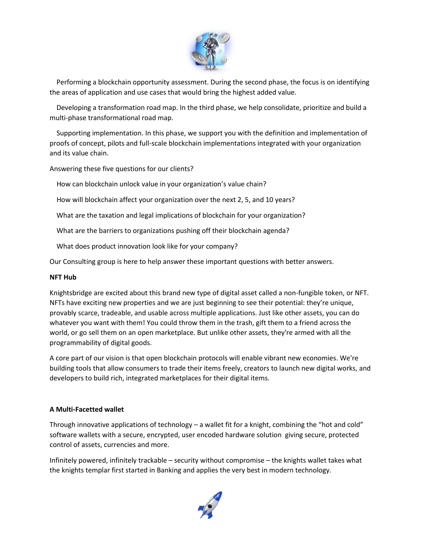

 Performing a blockchain opportunity assessment. During the second phase, the focus is on identifying the areas of application and use cases that would bring the highest added value.

 Developing a transformation road map. In the third phase, we help consolidate, prioritize and build a multi-phase transformational road map.

 Supporting implementation. In this phase, we support you with the definition and implementation of proofs of concept, pilots and full-scale blockchain implementations integrated with your organization and its value chain.

Answering these five questions for our clients?

How can blockchain unlock value in your organization's value chain?

How will blockchain affect your organization over the next 2, 5, and 10 years?

What are the taxation and legal implications of blockchain for your organization?

What are the barriers to organizations pushing off their blockchain agenda?

What does product innovation look like for your company?

Our Consulting group is here to help answer these important questions with better answers.

#### **NFT Hub**

Knightsbridge are excited about this brand new type of digital asset called a non-fungible token, or NFT. NFTs have exciting new properties and we are just beginning to see their potential: they're unique, provably scarce, tradeable, and usable across multiple applications. Just like other assets, you can do whatever you want with them! You could throw them in the trash, gift them to a friend across the world, or go sell them on an open marketplace. But unlike other assets, they're armed with all the programmability of digital goods.

A core part of our vision is that open blockchain protocols will enable vibrant new economies. We're building tools that allow consumers to trade their items freely, creators to launch new digital works, and developers to build rich, integrated marketplaces for their digital items.

#### **A Multi-Facetted wallet**

Through innovative applications of technology – a wallet fit for a knight, combining the "hot and cold" software wallets with a secure, encrypted, user encoded hardware solution giving secure, protected control of assets, currencies and more.

Infinitely powered, infinitely trackable – security without compromise – the knights wallet takes what the knights templar first started in Banking and applies the very best in modern technology.

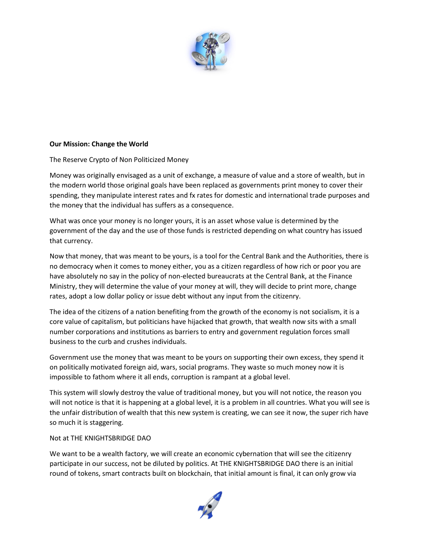

#### **Our Mission: Change the World**

#### The Reserve Crypto of Non Politicized Money

Money was originally envisaged as a unit of exchange, a measure of value and a store of wealth, but in the modern world those original goals have been replaced as governments print money to cover their spending, they manipulate interest rates and fx rates for domestic and international trade purposes and the money that the individual has suffers as a consequence.

What was once your money is no longer yours, it is an asset whose value is determined by the government of the day and the use of those funds is restricted depending on what country has issued that currency.

Now that money, that was meant to be yours, is a tool for the Central Bank and the Authorities, there is no democracy when it comes to money either, you as a citizen regardless of how rich or poor you are have absolutely no say in the policy of non-elected bureaucrats at the Central Bank, at the Finance Ministry, they will determine the value of your money at will, they will decide to print more, change rates, adopt a low dollar policy or issue debt without any input from the citizenry.

The idea of the citizens of a nation benefiting from the growth of the economy is not socialism, it is a core value of capitalism, but politicians have hijacked that growth, that wealth now sits with a small number corporations and institutions as barriers to entry and government regulation forces small business to the curb and crushes individuals.

Government use the money that was meant to be yours on supporting their own excess, they spend it on politically motivated foreign aid, wars, social programs. They waste so much money now it is impossible to fathom where it all ends, corruption is rampant at a global level.

This system will slowly destroy the value of traditional money, but you will not notice, the reason you will not notice is that it is happening at a global level, it is a problem in all countries. What you will see is the unfair distribution of wealth that this new system is creating, we can see it now, the super rich have so much it is staggering.

#### Not at THE KNIGHTSBRIDGE DAO

We want to be a wealth factory, we will create an economic cybernation that will see the citizenry participate in our success, not be diluted by politics. At THE KNIGHTSBRIDGE DAO there is an initial round of tokens, smart contracts built on blockchain, that initial amount is final, it can only grow via

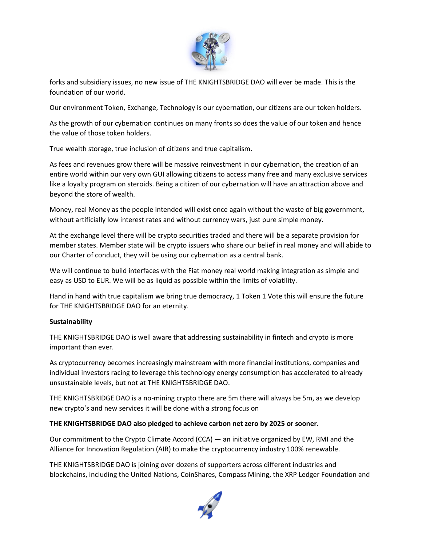

forks and subsidiary issues, no new issue of THE KNIGHTSBRIDGE DAO will ever be made. This is the foundation of our world.

Our environment Token, Exchange, Technology is our cybernation, our citizens are our token holders.

As the growth of our cybernation continues on many fronts so does the value of our token and hence the value of those token holders.

True wealth storage, true inclusion of citizens and true capitalism.

As fees and revenues grow there will be massive reinvestment in our cybernation, the creation of an entire world within our very own GUI allowing citizens to access many free and many exclusive services like a loyalty program on steroids. Being a citizen of our cybernation will have an attraction above and beyond the store of wealth.

Money, real Money as the people intended will exist once again without the waste of big government, without artificially low interest rates and without currency wars, just pure simple money.

At the exchange level there will be crypto securities traded and there will be a separate provision for member states. Member state will be crypto issuers who share our belief in real money and will abide to our Charter of conduct, they will be using our cybernation as a central bank.

We will continue to build interfaces with the Fiat money real world making integration as simple and easy as USD to EUR. We will be as liquid as possible within the limits of volatility.

Hand in hand with true capitalism we bring true democracy, 1 Token 1 Vote this will ensure the future for THE KNIGHTSBRIDGE DAO for an eternity.

# **Sustainability**

THE KNIGHTSBRIDGE DAO is well aware that addressing sustainability in fintech and crypto is more important than ever.

As cryptocurrency becomes increasingly mainstream with more financial institutions, companies and individual investors racing to leverage this technology energy consumption has accelerated to already unsustainable levels, but not at THE KNIGHTSBRIDGE DAO.

THE KNIGHTSBRIDGE DAO is a no-mining crypto there are 5m there will always be 5m, as we develop new crypto's and new services it will be done with a strong focus on

#### **THE KNIGHTSBRIDGE DAO also pledged to achieve carbon net zero by 2025 or sooner.**

Our commitment to the Crypto Climate Accord (CCA) — an initiative organized by EW, RMI and the Alliance for Innovation Regulation (AIR) to make the cryptocurrency industry 100% renewable.

THE KNIGHTSBRIDGE DAO is joining over dozens of supporters across different industries and blockchains, including the United Nations, CoinShares, Compass Mining, the XRP Ledger Foundation and

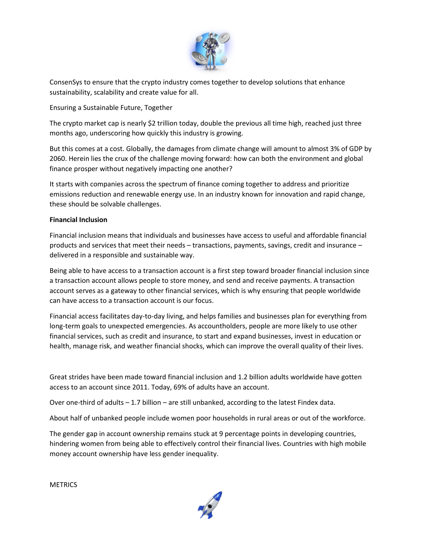

ConsenSys to ensure that the crypto industry comes together to develop solutions that enhance sustainability, scalability and create value for all.

Ensuring a Sustainable Future, Together

The crypto market cap is nearly \$2 trillion today, double the previous all time high, reached just three months ago, underscoring how quickly this industry is growing.

But this comes at a cost. Globally, the damages from climate change will amount to almost 3% of GDP by 2060. Herein lies the crux of the challenge moving forward: how can both the environment and global finance prosper without negatively impacting one another?

It starts with companies across the spectrum of finance coming together to address and prioritize emissions reduction and renewable energy use. In an industry known for innovation and rapid change, these should be solvable challenges.

## **Financial Inclusion**

Financial inclusion means that individuals and businesses have access to useful and affordable financial products and services that meet their needs – transactions, payments, savings, credit and insurance – delivered in a responsible and sustainable way.

Being able to have access to a transaction account is a first step toward broader financial inclusion since a transaction account allows people to store money, and send and receive payments. A transaction account serves as a gateway to other financial services, which is why ensuring that people worldwide can have access to a transaction account is our focus.

Financial access facilitates day-to-day living, and helps families and businesses plan for everything from long-term goals to unexpected emergencies. As accountholders, people are more likely to use other financial services, such as credit and insurance, to start and expand businesses, invest in education or health, manage risk, and weather financial shocks, which can improve the overall quality of their lives.

Great strides have been made toward financial inclusion and 1.2 billion adults worldwide have gotten access to an account since 2011. Today, 69% of adults have an account.

Over one-third of adults – 1.7 billion – are still unbanked, according to the latest Findex data.

About half of unbanked people include women poor households in rural areas or out of the workforce.

The gender gap in account ownership remains stuck at 9 percentage points in developing countries, hindering women from being able to effectively control their financial lives. Countries with high mobile money account ownership have less gender inequality.

**METRICS**